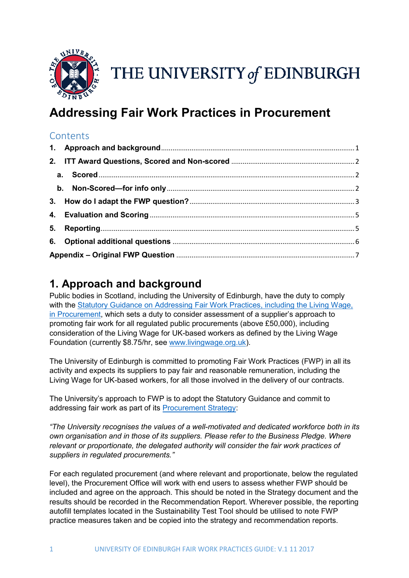

# THE UNIVERSITY of EDINBURGH

# **Addressing Fair Work Practices in Procurement**

#### **Contents**

### <span id="page-0-0"></span>**1. Approach and background**

Public bodies in Scotland, including the University of Edinburgh, have the duty to comply with the [Statutory Guidance on Addressing Fair Work Practices, including the Living Wage,](http://www.gov.scot/Resource/0048/00486741.pdf)  [in Procurement,](http://www.gov.scot/Resource/0048/00486741.pdf) which sets a duty to consider assessment of a supplier's approach to promoting fair work for all regulated public procurements (above £50,000), including consideration of the Living Wage for UK-based workers as defined by the Living Wage Foundation (currently \$8.75/hr, see [www.livingwage.org.uk\)](http://www.livingwage.org.uk/).

The University of Edinburgh is committed to promoting Fair Work Practices (FWP) in all its activity and expects its suppliers to pay fair and reasonable remuneration, including the Living Wage for UK-based workers, for all those involved in the delivery of our contracts.

The University's approach to FWP is to adopt the Statutory Guidance and commit to addressing fair work as part of its [Procurement Strategy:](https://www.ed.ac.uk/procurement/policies-procedures/university-procurement-strategy)

*"The University recognises the values of a well-motivated and dedicated workforce both in its own organisation and in those of its suppliers. Please refer to the Business Pledge. Where relevant or proportionate, the delegated authority will consider the fair work practices of suppliers in regulated procurements."*

For each regulated procurement (and where relevant and proportionate, below the regulated level), the Procurement Office will work with end users to assess whether FWP should be included and agree on the approach. This should be noted in the Strategy document and the results should be recorded in the Recommendation Report. Wherever possible, the reporting autofill templates located in the Sustainability Test Tool should be utilised to note FWP practice measures taken and be copied into the strategy and recommendation reports.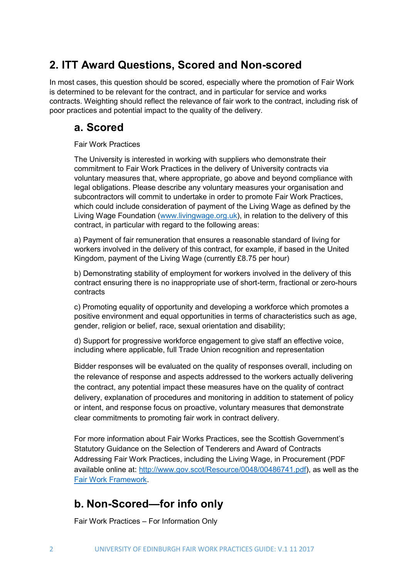## <span id="page-1-0"></span>**2. ITT Award Questions, Scored and Non-scored**

In most cases, this question should be scored, especially where the promotion of Fair Work is determined to be relevant for the contract, and in particular for service and works contracts. Weighting should reflect the relevance of fair work to the contract, including risk of poor practices and potential impact to the quality of the delivery.

#### <span id="page-1-1"></span>**a. Scored**

#### Fair Work Practices

The University is interested in working with suppliers who demonstrate their commitment to Fair Work Practices in the delivery of University contracts via voluntary measures that, where appropriate, go above and beyond compliance with legal obligations. Please describe any voluntary measures your organisation and subcontractors will commit to undertake in order to promote Fair Work Practices, which could include consideration of payment of the Living Wage as defined by the Living Wage Foundation [\(www.livingwage.org.uk\)](http://www.livingwage.org.uk/), in relation to the delivery of this contract, in particular with regard to the following areas:

a) Payment of fair remuneration that ensures a reasonable standard of living for workers involved in the delivery of this contract, for example, if based in the United Kingdom, payment of the Living Wage (currently £8.75 per hour)

b) Demonstrating stability of employment for workers involved in the delivery of this contract ensuring there is no inappropriate use of short-term, fractional or zero-hours contracts

c) Promoting equality of opportunity and developing a workforce which promotes a positive environment and equal opportunities in terms of characteristics such as age, gender, religion or belief, race, sexual orientation and disability;

d) Support for progressive workforce engagement to give staff an effective voice, including where applicable, full Trade Union recognition and representation

Bidder responses will be evaluated on the quality of responses overall, including on the relevance of response and aspects addressed to the workers actually delivering the contract, any potential impact these measures have on the quality of contract delivery, explanation of procedures and monitoring in addition to statement of policy or intent, and response focus on proactive, voluntary measures that demonstrate clear commitments to promoting fair work in contract delivery.

For more information about Fair Works Practices, see the Scottish Government's Statutory Guidance on the Selection of Tenderers and Award of Contracts Addressing Fair Work Practices, including the Living Wage, in Procurement (PDF available online at: [http://www.gov.scot/Resource/0048/00486741.pdf\)](http://www.gov.scot/Resource/0048/00486741.pdf), as well as the [Fair Work Framework.](http://www.fairworkconvention.scot/framework/FairWorkConventionFrameworkFull.pdf)

### <span id="page-1-2"></span>**b. Non-Scored—for info only**

Fair Work Practices – For Information Only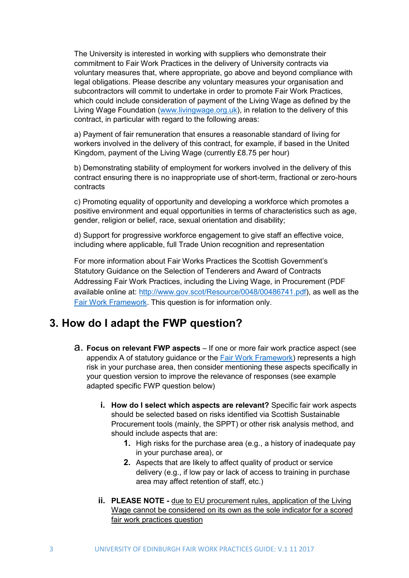The University is interested in working with suppliers who demonstrate their commitment to Fair Work Practices in the delivery of University contracts via voluntary measures that, where appropriate, go above and beyond compliance with legal obligations. Please describe any voluntary measures your organisation and subcontractors will commit to undertake in order to promote Fair Work Practices, which could include consideration of payment of the Living Wage as defined by the Living Wage Foundation [\(www.livingwage.org.uk\)](http://www.livingwage.org.uk/), in relation to the delivery of this contract, in particular with regard to the following areas:

a) Payment of fair remuneration that ensures a reasonable standard of living for workers involved in the delivery of this contract, for example, if based in the United Kingdom, payment of the Living Wage (currently £8.75 per hour)

b) Demonstrating stability of employment for workers involved in the delivery of this contract ensuring there is no inappropriate use of short-term, fractional or zero-hours contracts

c) Promoting equality of opportunity and developing a workforce which promotes a positive environment and equal opportunities in terms of characteristics such as age, gender, religion or belief, race, sexual orientation and disability;

d) Support for progressive workforce engagement to give staff an effective voice, including where applicable, full Trade Union recognition and representation

For more information about Fair Works Practices the Scottish Government's Statutory Guidance on the Selection of Tenderers and Award of Contracts Addressing Fair Work Practices, including the Living Wage, in Procurement (PDF available online at: [http://www.gov.scot/Resource/0048/00486741.pdf\)](http://www.gov.scot/Resource/0048/00486741.pdf), as well as the [Fair Work Framework.](http://www.fairworkconvention.scot/framework/FairWorkConventionFrameworkFull.pdf) This question is for information only.

#### <span id="page-2-0"></span>**3. How do I adapt the FWP question?**

- a. **Focus on relevant FWP aspects** If one or more fair work practice aspect (see appendix A of statutory guidance or the [Fair Work Framework\)](http://www.fairworkconvention.scot/framework/FairWorkConventionFrameworkFull.pdf) represents a high risk in your purchase area, then consider mentioning these aspects specifically in your question version to improve the relevance of responses (see example adapted specific FWP question below)
	- **i. How do I select which aspects are relevant?** Specific fair work aspects should be selected based on risks identified via Scottish Sustainable Procurement tools (mainly, the SPPT) or other risk analysis method, and should include aspects that are:
		- **1.** High risks for the purchase area (e.g., a history of inadequate pay in your purchase area), or
		- **2.** Aspects that are likely to affect quality of product or service delivery (e.g., if low pay or lack of access to training in purchase area may affect retention of staff, etc.)
	- **ii. PLEASE NOTE -** due to EU procurement rules, application of the Living Wage cannot be considered on its own as the sole indicator for a scored fair work practices question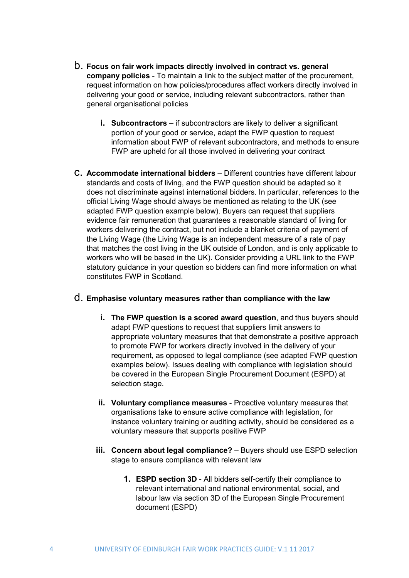- b. **Focus on fair work impacts directly involved in contract vs. general company policies** - To maintain a link to the subject matter of the procurement, request information on how policies/procedures affect workers directly involved in delivering your good or service, including relevant subcontractors, rather than general organisational policies
	- **i.** Subcontractors if subcontractors are likely to deliver a significant portion of your good or service, adapt the FWP question to request information about FWP of relevant subcontractors, and methods to ensure FWP are upheld for all those involved in delivering your contract
- c. **Accommodate international bidders**  Different countries have different labour standards and costs of living, and the FWP question should be adapted so it does not discriminate against international bidders. In particular, references to the official Living Wage should always be mentioned as relating to the UK (see adapted FWP question example below). Buyers can request that suppliers evidence fair remuneration that guarantees a reasonable standard of living for workers delivering the contract, but not include a blanket criteria of payment of the Living Wage (the Living Wage is an independent measure of a rate of pay that matches the cost living in the UK outside of London, and is only applicable to workers who will be based in the UK). Consider providing a URL link to the FWP statutory guidance in your question so bidders can find more information on what constitutes FWP in Scotland.

#### d. **Emphasise voluntary measures rather than compliance with the law**

- **i. The FWP question is a scored award question**, and thus buyers should adapt FWP questions to request that suppliers limit answers to appropriate voluntary measures that that demonstrate a positive approach to promote FWP for workers directly involved in the delivery of your requirement, as opposed to legal compliance (see adapted FWP question examples below). Issues dealing with compliance with legislation should be covered in the European Single Procurement Document (ESPD) at selection stage.
- **ii. Voluntary compliance measures** Proactive voluntary measures that organisations take to ensure active compliance with legislation, for instance voluntary training or auditing activity, should be considered as a voluntary measure that supports positive FWP
- **iii. Concern about legal compliance?**  Buyers should use ESPD selection stage to ensure compliance with relevant law
	- **1. ESPD section 3D** All bidders self-certify their compliance to relevant international and national environmental, social, and labour law via section 3D of the European Single Procurement document (ESPD)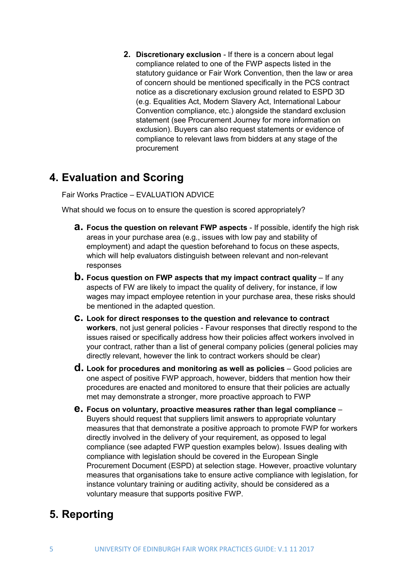**2. Discretionary exclusion** - If there is a concern about legal compliance related to one of the FWP aspects listed in the statutory guidance or Fair Work Convention, then the law or area of concern should be mentioned specifically in the PCS contract notice as a discretionary exclusion ground related to ESPD 3D (e.g. Equalities Act, Modern Slavery Act, International Labour Convention compliance, etc.) alongside the standard exclusion statement (see Procurement Journey for more information on exclusion). Buyers can also request statements or evidence of compliance to relevant laws from bidders at any stage of the procurement

#### <span id="page-4-0"></span>**4. Evaluation and Scoring**

Fair Works Practice – EVALUATION ADVICE

What should we focus on to ensure the question is scored appropriately?

- **a. Focus the question on relevant FWP aspects** If possible, identify the high risk areas in your purchase area (e.g., issues with low pay and stability of employment) and adapt the question beforehand to focus on these aspects, which will help evaluators distinguish between relevant and non-relevant responses
- **b. Focus question on FWP aspects that my impact contract quality** If any aspects of FW are likely to impact the quality of delivery, for instance, if low wages may impact employee retention in your purchase area, these risks should be mentioned in the adapted question.
- **c. Look for direct responses to the question and relevance to contract workers**, not just general policies - Favour responses that directly respond to the issues raised or specifically address how their policies affect workers involved in your contract, rather than a list of general company policies (general policies may directly relevant, however the link to contract workers should be clear)
- **d. Look for procedures and monitoring as well as policies** Good policies are one aspect of positive FWP approach, however, bidders that mention how their procedures are enacted and monitored to ensure that their policies are actually met may demonstrate a stronger, more proactive approach to FWP
- **e. Focus on voluntary, proactive measures rather than legal compliance** Buyers should request that suppliers limit answers to appropriate voluntary measures that that demonstrate a positive approach to promote FWP for workers directly involved in the delivery of your requirement, as opposed to legal compliance (see adapted FWP question examples below). Issues dealing with compliance with legislation should be covered in the European Single Procurement Document (ESPD) at selection stage. However, proactive voluntary measures that organisations take to ensure active compliance with legislation, for instance voluntary training or auditing activity, should be considered as a voluntary measure that supports positive FWP.

### <span id="page-4-1"></span>**5. Reporting**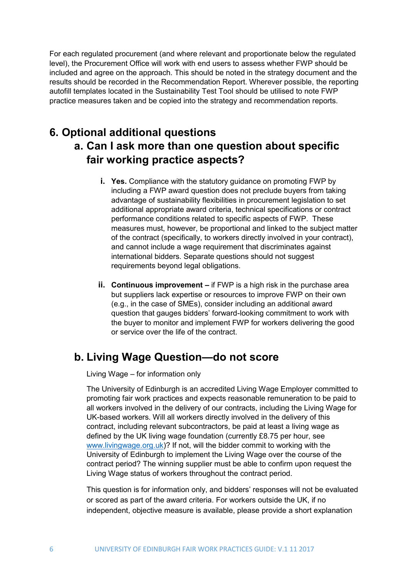For each regulated procurement (and where relevant and proportionate below the regulated level), the Procurement Office will work with end users to assess whether FWP should be included and agree on the approach. This should be noted in the strategy document and the results should be recorded in the Recommendation Report. Wherever possible, the reporting autofill templates located in the Sustainability Test Tool should be utilised to note FWP practice measures taken and be copied into the strategy and recommendation reports.

### <span id="page-5-0"></span>**6. Optional additional questions**

# **a. Can I ask more than one question about specific fair working practice aspects?**

- **i. Yes.** Compliance with the statutory guidance on promoting FWP by including a FWP award question does not preclude buyers from taking advantage of sustainability flexibilities in procurement legislation to set additional appropriate award criteria, technical specifications or contract performance conditions related to specific aspects of FWP. These measures must, however, be proportional and linked to the subject matter of the contract (specifically, to workers directly involved in your contract), and cannot include a wage requirement that discriminates against international bidders. Separate questions should not suggest requirements beyond legal obligations.
- **ii.** Continuous improvement if FWP is a high risk in the purchase area but suppliers lack expertise or resources to improve FWP on their own (e.g., in the case of SMEs), consider including an additional award question that gauges bidders' forward-looking commitment to work with the buyer to monitor and implement FWP for workers delivering the good or service over the life of the contract.

#### **b. Living Wage Question—do not score**

Living Wage – for information only

The University of Edinburgh is an accredited Living Wage Employer committed to promoting fair work practices and expects reasonable remuneration to be paid to all workers involved in the delivery of our contracts, including the Living Wage for UK-based workers. Will all workers directly involved in the delivery of this contract, including relevant subcontractors, be paid at least a living wage as defined by the UK living wage foundation (currently £8.75 per hour, see [www.livingwage.org.uk\)](http://www.livingwage.org.uk/)? If not, will the bidder commit to working with the University of Edinburgh to implement the Living Wage over the course of the contract period? The winning supplier must be able to confirm upon request the Living Wage status of workers throughout the contract period.

This question is for information only, and bidders' responses will not be evaluated or scored as part of the award criteria. For workers outside the UK, if no independent, objective measure is available, please provide a short explanation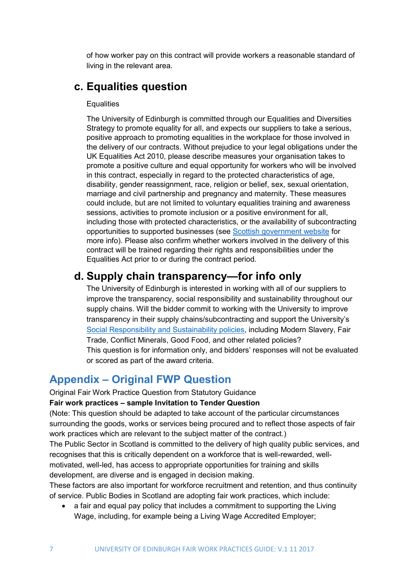of how worker pay on this contract will provide workers a reasonable standard of living in the relevant area.

#### **c. Equalities question**

#### **Equalities**

The University of Edinburgh is committed through our Equalities and Diversities Strategy to promote equality for all, and expects our suppliers to take a serious, positive approach to promoting equalities in the workplace for those involved in the delivery of our contracts. Without prejudice to your legal obligations under the UK Equalities Act 2010, please describe measures your organisation takes to promote a positive culture and equal opportunity for workers who will be involved in this contract, especially in regard to the protected characteristics of age, disability, gender reassignment, race, religion or belief, sex, sexual orientation, marriage and civil partnership and pregnancy and maternity. These measures could include, but are not limited to voluntary equalities training and awareness sessions, activities to promote inclusion or a positive environment for all, including those with protected characteristics, or the availability of subcontracting opportunities to supported businesses (see [Scottish government website](http://www.gov.scot/Topics/Government/Procurement/buyer-information/SuppBus) for more info). Please also confirm whether workers involved in the delivery of this contract will be trained regarding their rights and responsibilities under the Equalities Act prior to or during the contract period.

#### **d. Supply chain transparency—for info only**

The University of Edinburgh is interested in working with all of our suppliers to improve the transparency, social responsibility and sustainability throughout our supply chains. Will the bidder commit to working with the University to improve transparency in their supply chains/subcontracting and support the University's [Social Responsibility and Sustainability policies,](https://www.ed.ac.uk/about/sustainability/governance-publications-reports) including Modern Slavery, Fair Trade, Conflict Minerals, Good Food, and other related policies? This question is for information only, and bidders' responses will not be evaluated or scored as part of the award criteria.

### <span id="page-6-0"></span>**Appendix – Original FWP Question**

Original Fair Work Practice Question from Statutory Guidance

#### **Fair work practices – sample Invitation to Tender Question**

(Note: This question should be adapted to take account of the particular circumstances surrounding the goods, works or services being procured and to reflect those aspects of fair work practices which are relevant to the subject matter of the contract.)

The Public Sector in Scotland is committed to the delivery of high quality public services, and recognises that this is critically dependent on a workforce that is well-rewarded, wellmotivated, well-led, has access to appropriate opportunities for training and skills development, are diverse and is engaged in decision making.

These factors are also important for workforce recruitment and retention, and thus continuity of service. Public Bodies in Scotland are adopting fair work practices, which include:

 a fair and equal pay policy that includes a commitment to supporting the Living Wage, including, for example being a Living Wage Accredited Employer;